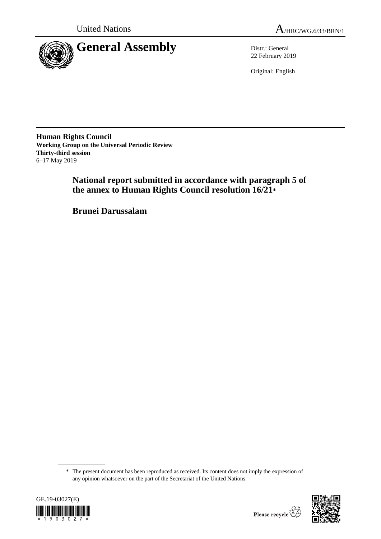



22 February 2019

Original: English

**Human Rights Council Working Group on the Universal Periodic Review Thirty-third session** 6–17 May 2019

> **National report submitted in accordance with paragraph 5 of the annex to Human Rights Council resolution 16/21\***

**Brunei Darussalam**

<sup>\*</sup> The present document has been reproduced as received. Its content does not imply the expression of any opinion whatsoever on the part of the Secretariat of the United Nations.



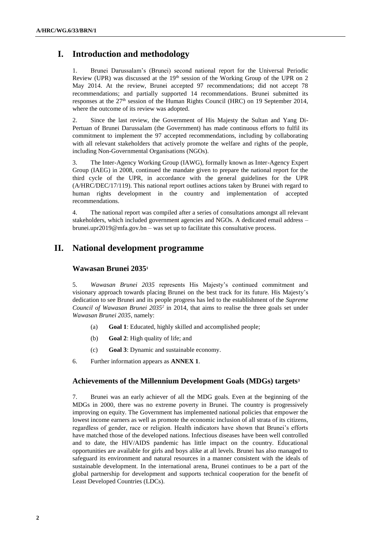# **I. Introduction and methodology**

1. Brunei Darussalam's (Brunei) second national report for the Universal Periodic Review (UPR) was discussed at the  $19<sup>th</sup>$  session of the Working Group of the UPR on 2 May 2014. At the review, Brunei accepted 97 recommendations; did not accept 78 recommendations; and partially supported 14 recommendations. Brunei submitted its responses at the 27<sup>th</sup> session of the Human Rights Council (HRC) on 19 September 2014, where the outcome of its review was adopted.

2. Since the last review, the Government of His Majesty the Sultan and Yang Di-Pertuan of Brunei Darussalam (the Government) has made continuous efforts to fulfil its commitment to implement the 97 accepted recommendations, including by collaborating with all relevant stakeholders that actively promote the welfare and rights of the people, including Non-Governmental Organisations (NGOs).

3. The Inter-Agency Working Group (IAWG), formally known as Inter-Agency Expert Group (IAEG) in 2008, continued the mandate given to prepare the national report for the third cycle of the UPR, in accordance with the general guidelines for the UPR (A/HRC/DEC/17/119). This national report outlines actions taken by Brunei with regard to human rights development in the country and implementation of accepted recommendations.

4. The national report was compiled after a series of consultations amongst all relevant stakeholders, which included government agencies and NGOs. A dedicated email address – [brunei.upr2019@mfa.gov.bn](mailto:brunei.upr2019@mfa.gov.bn) – was set up to facilitate this consultative process.

## **II. National development programme**

## **Wawasan Brunei 2035<sup>1</sup>**

5. *Wawasan Brunei 2035* represents His Majesty's continued commitment and visionary approach towards placing Brunei on the best track for its future. His Majesty's dedication to see Brunei and its people progress has led to the establishment of the *Supreme Council of Wawasan Brunei 2035<sup>2</sup>* in 2014, that aims to realise the three goals set under *Wawasan Brunei 2035*, namely:

- (a) **Goal 1**: Educated, highly skilled and accomplished people;
- (b) **Goal 2**: High quality of life; and
- (c) **Goal 3**: Dynamic and sustainable economy.
- 6. Further information appears as **ANNEX 1**.

## **Achievements of the Millennium Development Goals (MDGs) targets<sup>3</sup>**

7. Brunei was an early achiever of all the MDG goals. Even at the beginning of the MDGs in 2000, there was no extreme poverty in Brunei. The country is progressively improving on equity. The Government has implemented national policies that empower the lowest income earners as well as promote the economic inclusion of all strata of its citizens, regardless of gender, race or religion. Health indicators have shown that Brunei's efforts have matched those of the developed nations. Infectious diseases have been well controlled and to date, the HIV/AIDS pandemic has little impact on the country. Educational opportunities are available for girls and boys alike at all levels. Brunei has also managed to safeguard its environment and natural resources in a manner consistent with the ideals of sustainable development. In the international arena, Brunei continues to be a part of the global partnership for development and supports technical cooperation for the benefit of Least Developed Countries (LDCs).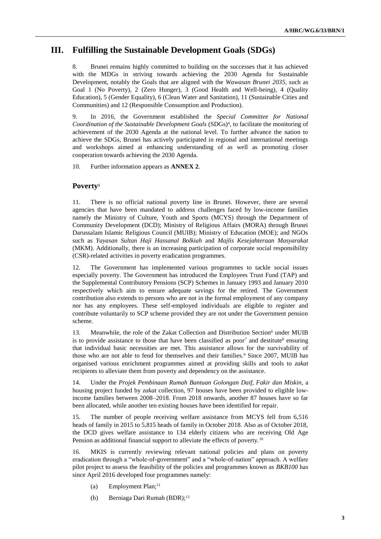# **III. Fulfilling the Sustainable Development Goals (SDGs)**

8. Brunei remains highly committed to building on the successes that it has achieved with the MDGs in striving towards achieving the 2030 Agenda for Sustainable Development, notably the Goals that are aligned with the *Wawasan Brunei 2035*, such as Goal 1 (No Poverty), 2 (Zero Hunger), 3 (Good Health and Well-being), 4 (Quality Education), 5 (Gender Equality), 6 (Clean Water and Sanitation), 11 (Sustainable Cities and Communities) and 12 (Responsible Consumption and Production).

9. In 2016, the Government established the *Special Committee for National Coordination of the Sustainable Development Goals* (SDGs)<sup>4</sup> , to facilitate the monitoring of achievement of the 2030 Agenda at the national level. To further advance the nation to achieve the SDGs, Brunei has actively participated in regional and international meetings and workshops aimed at enhancing understanding of as well as promoting closer cooperation towards achieving the 2030 Agenda.

10. Further information appears as **ANNEX 2**.

## **Poverty<sup>5</sup>**

11. There is no official national poverty line in Brunei. However, there are several agencies that have been mandated to address challenges faced by low-income families namely the Ministry of Culture, Youth and Sports (MCYS) through the Department of Community Development (DCD); Ministry of Religious Affairs (MORA) through Brunei Darussalam Islamic Religious Council (MUIB); Ministry of Education (MOE); and NGOs such as *Yayasan Sultan Haji Hassanal Bolkiah* and *Majlis Kesejahteraan Masyarakat* (MKM). Additionally, there is an increasing participation of corporate social responsibility (CSR)-related activities in poverty eradication programmes.

12. The Government has implemented various programmes to tackle social issues especially poverty. The Government has introduced the Employees Trust Fund (TAP) and the Supplemental Contributory Pensions (SCP) Schemes in January 1993 and January 2010 respectively which aim to ensure adequate savings for the retired. The Government contribution also extends to persons who are not in the formal employment of any company nor has any employees. These self-employed individuals are eligible to register and contribute voluntarily to SCP scheme provided they are not under the Government pension scheme.

13. Meanwhile, the role of the Zakat Collection and Distribution Section<sup>6</sup> under MUIB is to provide assistance to those that have been classified as poor<sup>7</sup> and destitute<sup>8</sup> ensuring that individual basic necessities are met. This assistance allows for the survivability of those who are not able to fend for themselves and their families.<sup>9</sup> Since 2007, MUIB has organised various enrichment programmes aimed at providing skills and tools to *zakat* recipients to alleviate them from poverty and dependency on the assistance.

14. Under the *Projek Pembinaan Rumah Bantuan Golongan Daif, Fakir dan Miskin*, a housing project funded by *zakat* collection, 97 houses have been provided to eligible lowincome families between 2008–2018. From 2018 onwards, another 87 houses have so far been allocated, while another ten existing houses have been identified for repair.

15. The number of people receiving welfare assistance from MCYS fell from 6,516 heads of family in 2015 to 5,815 heads of family in October 2018. Also as of October 2018, the DCD gives welfare assistance to 134 elderly citizens who are receiving Old Age Pension as additional financial support to alleviate the effects of poverty.<sup>10</sup>

16. MKIS is currently reviewing relevant national policies and plans on poverty eradication through a "whole-of-government" and a "whole-of-nation" approach. A welfare pilot project to assess the feasibility of the policies and programmes known as *BKB100* has since April 2016 developed four programmes namely:

- (a) Employment Plan;<sup>11</sup>
- (b) Berniaga Dari Rumah (BDR);<sup>12</sup>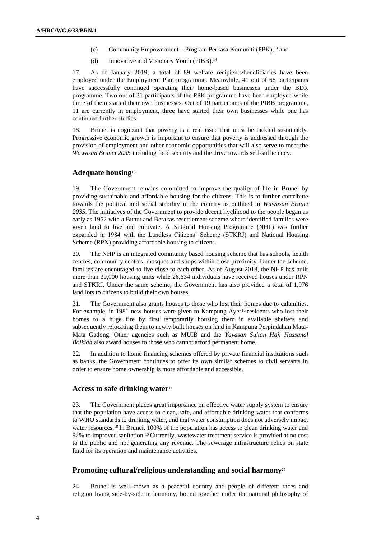- (c) Community Empowerment Program Perkasa Komuniti (PPK);<sup>13</sup> and
- (d) Innovative and Visionary Youth (PIBB).<sup>14</sup>

17. As of January 2019, a total of 89 welfare recipients/beneficiaries have been employed under the Employment Plan programme. Meanwhile, 41 out of 68 participants have successfully continued operating their home-based businesses under the BDR programme. Two out of 31 participants of the PPK programme have been employed while three of them started their own businesses. Out of 19 participants of the PIBB programme, 11 are currently in employment, three have started their own businesses while one has continued further studies.

18. Brunei is cognizant that poverty is a real issue that must be tackled sustainably. Progressive economic growth is important to ensure that poverty is addressed through the provision of employment and other economic opportunities that will also serve to meet the *Wawasan Brunei 2035* including food security and the drive towards self-sufficiency.

#### **Adequate housing<sup>15</sup>**

19. The Government remains committed to improve the quality of life in Brunei by providing sustainable and affordable housing for the citizens. This is to further contribute towards the political and social stability in the country as outlined in *Wawasan Brunei 2035*. The initiatives of the Government to provide decent livelihood to the people began as early as 1952 with a Bunut and Berakas resettlement scheme where identified families were given land to live and cultivate. A National Housing Programme (NHP) was further expanded in 1984 with the Landless Citizens' Scheme (STKRJ) and National Housing Scheme (RPN) providing affordable housing to citizens.

20. The NHP is an integrated community based housing scheme that has schools, health centres, community centres, mosques and shops within close proximity. Under the scheme, families are encouraged to live close to each other. As of August 2018, the NHP has built more than 30,000 housing units while 26,634 individuals have received houses under RPN and STKRJ. Under the same scheme, the Government has also provided a total of 1,976 land lots to citizens to build their own houses.

21. The Government also grants houses to those who lost their homes due to calamities. For example, in 1981 new houses were given to Kampung Ayer<sup>16</sup> residents who lost their homes to a huge fire by first temporarily housing them in available shelters and subsequently relocating them to newly built houses on land in Kampung Perpindahan Mata-Mata Gadong. Other agencies such as MUIB and the *Yayasan Sultan Haji Hassanal Bolkiah* also award houses to those who cannot afford permanent home.

22. In addition to home financing schemes offered by private financial institutions such as banks, the Government continues to offer its own similar schemes to civil servants in order to ensure home ownership is more affordable and accessible.

#### **Access to safe drinking water<sup>17</sup>**

23. The Government places great importance on effective water supply system to ensure that the population have access to clean, safe, and affordable drinking water that conforms to WHO standards to drinking water, and that water consumption does not adversely impact water resources.<sup>18</sup> In Brunei, 100% of the population has access to clean drinking water and 92% to improved sanitation.<sup>19</sup> Currently, wastewater treatment service is provided at no cost to the public and not generating any revenue. The sewerage infrastructure relies on state fund for its operation and maintenance activities.

#### **Promoting cultural/religious understanding and social harmony<sup>20</sup>**

24. Brunei is well-known as a peaceful country and people of different races and religion living side-by-side in harmony, bound together under the national philosophy of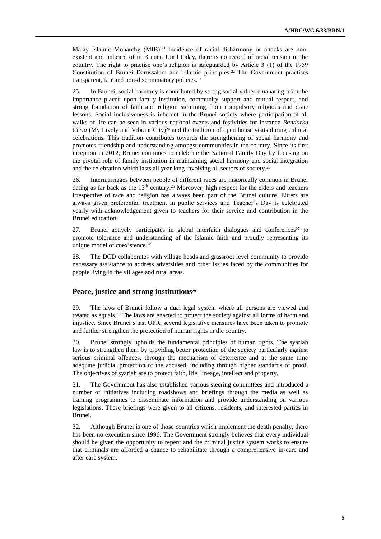Malay Islamic Monarchy (MIB).<sup>21</sup> Incidence of racial disharmony or attacks are nonexistent and unheard of in Brunei. Until today, there is no record of racial tension in the country. The right to practise one's religion is safeguarded by Article 3 (1) of the 1959 Constitution of Brunei Darussalam and Islamic principles.<sup>22</sup> The Government practises transparent, fair and non-discriminatory policies.<sup>23</sup>

25. In Brunei, social harmony is contributed by strong social values emanating from the importance placed upon family institution, community support and mutual respect, and strong foundation of faith and religion stemming from compulsory religious and civic lessons. Social inclusiveness is inherent in the Brunei society where participation of all walks of life can be seen in various national events and festivities for instance *Bandarku Ceria* (My Lively and Vibrant City)<sup>24</sup> and the tradition of open house visits during cultural celebrations. This tradition contributes towards the strengthening of social harmony and promotes friendship and understanding amongst communities in the country. Since its first inception in 2012, Brunei continues to celebrate the National Family Day by focusing on the pivotal role of family institution in maintaining social harmony and social integration and the celebration which lasts all year long involving all sectors of society.<sup>25</sup>

26. Intermarriages between people of different races are historically common in Brunei dating as far back as the  $13<sup>th</sup>$  century.<sup>26</sup> Moreover, high respect for the elders and teachers irrespective of race and religion has always been part of the Brunei culture. Elders are always given preferential treatment in public services and Teacher's Day is celebrated yearly with acknowledgement given to teachers for their service and contribution in the Brunei education.

27. Brunei actively participates in global interfaith dialogues and conferences<sup>27</sup> to promote tolerance and understanding of the Islamic faith and proudly representing its unique model of coexistence.<sup>28</sup>

28. The DCD collaborates with village heads and grassroot level community to provide necessary assistance to address adversities and other issues faced by the communities for people living in the villages and rural areas.

#### **Peace, justice and strong institutions<sup>29</sup>**

29. The laws of Brunei follow a dual legal system where all persons are viewed and treated as equals.<sup>30</sup> The laws are enacted to protect the society against all forms of harm and injustice. Since Brunei's last UPR, several legislative measures have been taken to promote and further strengthen the protection of human rights in the country.

30. Brunei strongly upholds the fundamental principles of human rights. The syariah law is to strengthen them by providing better protection of the society particularly against serious criminal offences, through the mechanism of deterrence and at the same time adequate judicial protection of the accused, including through higher standards of proof. The objectives of syariah are to protect faith, life, lineage, intellect and property.

31. The Government has also established various steering committees and introduced a number of initiatives including roadshows and briefings through the media as well as training programmes to disseminate information and provide understanding on various legislations. These briefings were given to all citizens, residents, and interested parties in Brunei.

32. Although Brunei is one of those countries which implement the death penalty, there has been no execution since 1996. The Government strongly believes that every individual should be given the opportunity to repent and the criminal justice system works to ensure that criminals are afforded a chance to rehabilitate through a comprehensive in-care and after care system.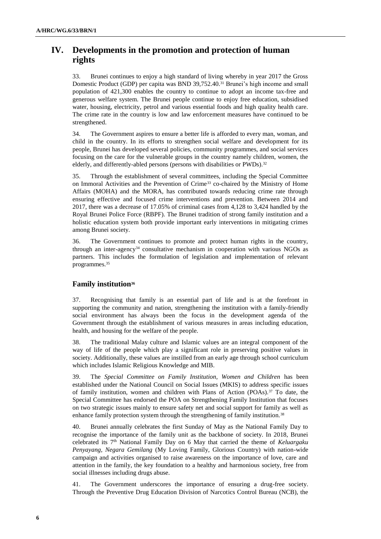# **IV. Developments in the promotion and protection of human rights**

33. Brunei continues to enjoy a high standard of living whereby in year 2017 the Gross Domestic Product (GDP) per capita was BND 39,752.40.<sup>31</sup> Brunei's high income and small population of 421,300 enables the country to continue to adopt an income tax-free and generous welfare system. The Brunei people continue to enjoy free education, subsidised water, housing, electricity, petrol and various essential foods and high quality health care. The crime rate in the country is low and law enforcement measures have continued to be strengthened.

34. The Government aspires to ensure a better life is afforded to every man, woman, and child in the country. In its efforts to strengthen social welfare and development for its people, Brunei has developed several policies, community programmes, and social services focusing on the care for the vulnerable groups in the country namely children, women, the elderly, and differently-abled persons (persons with disabilities or PWDs).<sup>32</sup>

35. Through the establishment of several committees, including the Special Committee on Immoral Activities and the Prevention of Crime<sup>33</sup> co-chaired by the Ministry of Home Affairs (MOHA) and the MORA, has contributed towards reducing crime rate through ensuring effective and focused crime interventions and prevention. Between 2014 and 2017, there was a decrease of 17.05% of criminal cases from 4,128 to 3,424 handled by the Royal Brunei Police Force (RBPF). The Brunei tradition of strong family institution and a holistic education system both provide important early interventions in mitigating crimes among Brunei society.

36. The Government continues to promote and protect human rights in the country, through an inter-agency<sup>34</sup> consultative mechanism in cooperation with various NGOs as partners. This includes the formulation of legislation and implementation of relevant programmes.<sup>35</sup>

## **Family institution<sup>36</sup>**

37. Recognising that family is an essential part of life and is at the forefront in supporting the community and nation, strengthening the institution with a family-friendly social environment has always been the focus in the development agenda of the Government through the establishment of various measures in areas including education, health, and housing for the welfare of the people.

38. The traditional Malay culture and Islamic values are an integral component of the way of life of the people which play a significant role in preserving positive values in society. Additionally, these values are instilled from an early age through school curriculum which includes Islamic Religious Knowledge and MIB.

39. The *Special Committee on Family Institution, Women and Children* has been established under the National Council on Social Issues (MKIS) to address specific issues of family institution, women and children with Plans of Action (POAs).<sup>37</sup> To date, the Special Committee has endorsed the POA on Strengthening Family Institution that focuses on two strategic issues mainly to ensure safety net and social support for family as well as enhance family protection system through the strengthening of family institution.<sup>38</sup>

40. Brunei annually celebrates the first Sunday of May as the National Family Day to recognise the importance of the family unit as the backbone of society. In 2018, Brunei celebrated its 7<sup>th</sup> National Family Day on 6 May that carried the theme of *Keluargaku Penyayang, Negara Gemilang* (My Loving Family, Glorious Country) with nation-wide campaign and activities organised to raise awareness on the importance of love, care and attention in the family, the key foundation to a healthy and harmonious society, free from social illnesses including drugs abuse.

41. The Government underscores the importance of ensuring a drug-free society. Through the Preventive Drug Education Division of Narcotics Control Bureau (NCB), the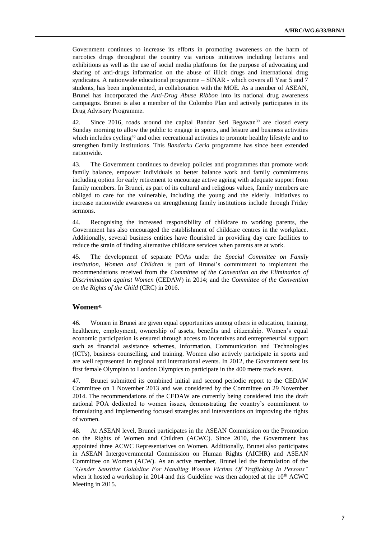Government continues to increase its efforts in promoting awareness on the harm of narcotics drugs throughout the country via various initiatives including lectures and exhibitions as well as the use of social media platforms for the purpose of advocating and sharing of anti-drugs information on the abuse of illicit drugs and international drug syndicates. A nationwide educational programme – SINAR - which covers all Year 5 and 7 students, has been implemented, in collaboration with the MOE. As a member of ASEAN, Brunei has incorporated the *Anti-Drug Abuse Ribbon* into its national drug awareness campaigns. Brunei is also a member of the Colombo Plan and actively participates in its Drug Advisory Programme.

42. Since 2016, roads around the capital Bandar Seri Begawan<sup>39</sup> are closed every Sunday morning to allow the public to engage in sports, and leisure and business activities which includes cycling<sup>40</sup> and other recreational activities to promote healthy lifestyle and to strengthen family institutions. This *Bandarku Ceria* programme has since been extended nationwide.

43. The Government continues to develop policies and programmes that promote work family balance, empower individuals to better balance work and family commitments including option for early retirement to encourage active ageing with adequate support from family members. In Brunei, as part of its cultural and religious values, family members are obliged to care for the vulnerable, including the young and the elderly. Initiatives to increase nationwide awareness on strengthening family institutions include through Friday sermons.

44. Recognising the increased responsibility of childcare to working parents, the Government has also encouraged the establishment of childcare centres in the workplace. Additionally, several business entities have flourished in providing day care facilities to reduce the strain of finding alternative childcare services when parents are at work.

45. The development of separate POAs under the *Special Committee on Family Institution, Women and Children* is part of Brunei's commitment to implement the recommendations received from the *Committee of the Convention on the Elimination of Discrimination against Women* (CEDAW) in 2014; and the *Committee of the Convention on the Rights of the Child* (CRC) in 2016.

## **Women<sup>41</sup>**

46. Women in Brunei are given equal opportunities among others in education, training, healthcare, employment, ownership of assets, benefits and citizenship. Women's equal economic participation is ensured through access to incentives and entrepreneurial support such as financial assistance schemes, Information, Communication and Technologies (ICTs), business counselling, and training. Women also actively participate in sports and are well represented in regional and international events. In 2012, the Government sent its first female Olympian to London Olympics to participate in the 400 metre track event.

47. Brunei submitted its combined initial and second periodic report to the CEDAW Committee on 1 November 2013 and was considered by the Committee on 29 November 2014. The recommendations of the CEDAW are currently being considered into the draft national POA dedicated to women issues, demonstrating the country's commitment to formulating and implementing focused strategies and interventions on improving the rights of women.

48. At ASEAN level, Brunei participates in the ASEAN Commission on the Promotion on the Rights of Women and Children (ACWC). Since 2010, the Government has appointed three ACWC Representatives on Women. Additionally, Brunei also participates in ASEAN Intergovernmental Commission on Human Rights (AICHR) and ASEAN Committee on Women (ACW). As an active member, Brunei led the formulation of the *"Gender Sensitive Guideline For Handling Women Victims Of Trafficking In Persons"*  when it hosted a workshop in 2014 and this Guideline was then adopted at the  $10<sup>th</sup>$  ACWC Meeting in 2015.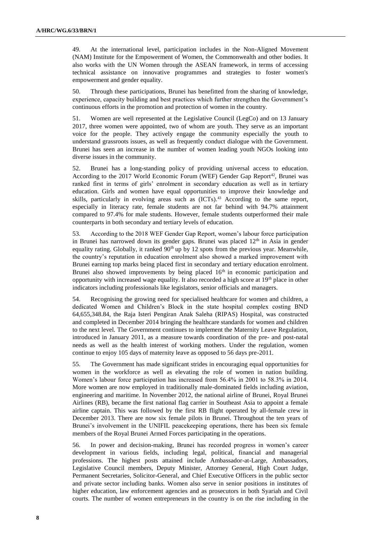49. At the international level, participation includes in the Non-Aligned Movement (NAM) Institute for the Empowerment of Women, the Commonwealth and other bodies. It also works with the UN Women through the ASEAN framework, in terms of accessing technical assistance on innovative programmes and strategies to foster women's empowerment and gender equality.

50. Through these participations, Brunei has benefitted from the sharing of knowledge, experience, capacity building and best practices which further strengthen the Government's continuous efforts in the promotion and protection of women in the country.

51. Women are well represented at the Legislative Council (LegCo) and on 13 January 2017, three women were appointed, two of whom are youth. They serve as an important voice for the people. They actively engage the community especially the youth to understand grassroots issues, as well as frequently conduct dialogue with the Government. Brunei has seen an increase in the number of women leading youth NGOs looking into diverse issues in the community.

52. Brunei has a long-standing policy of providing universal access to education. According to the 2017 World Economic Forum (WEF) Gender Gap Report<sup>42</sup>, Brunei was ranked first in terms of girls' enrolment in secondary education as well as in tertiary education. Girls and women have equal opportunities to improve their knowledge and skills, particularly in evolving areas such as (ICTs).<sup>43</sup> According to the same report, especially in literacy rate, female students are not far behind with 94.7% attainment compared to 97.4% for male students. However, female students outperformed their male counterparts in both secondary and tertiary levels of education.

53. According to the 2018 WEF Gender Gap Report, women's labour force participation in Brunei has narrowed down its gender gaps. Brunei was placed 12<sup>th</sup> in Asia in gender equality rating. Globally, it ranked  $90<sup>th</sup>$  up by 12 spots from the previous year. Meanwhile, the country's reputation in education enrolment also showed a marked improvement with Brunei earning top marks being placed first in secondary and tertiary education enrolment. Brunei also showed improvements by being placed  $16<sup>th</sup>$  in economic participation and opportunity with increased wage equality. It also recorded a high score at 19<sup>th</sup> place in other indicators including professionals like legislators, senior officials and managers.

54. Recognising the growing need for specialised healthcare for women and children, a dedicated Women and Children's Block in the state hospital complex costing BND 64,655,348.84, the Raja Isteri Pengiran Anak Saleha (RIPAS) Hospital, was constructed and completed in December 2014 bringing the healthcare standards for women and children to the next level. The Government continues to implement the Maternity Leave Regulation, introduced in January 2011, as a measure towards coordination of the pre- and post-natal needs as well as the health interest of working mothers. Under the regulation, women continue to enjoy 105 days of maternity leave as opposed to 56 days pre-2011.

55. The Government has made significant strides in encouraging equal opportunities for women in the workforce as well as elevating the role of women in nation building. Women's labour force participation has increased from 56.4% in 2001 to 58.3% in 2014. More women are now employed in traditionally male-dominated fields including aviation, engineering and maritime. In November 2012, the national airline of Brunei, Royal Brunei Airlines (RB), became the first national flag carrier in Southeast Asia to appoint a female airline captain. This was followed by the first RB flight operated by all-female crew in December 2013. There are now six female pilots in Brunei. Throughout the ten years of Brunei's involvement in the UNIFIL peacekeeping operations, there has been six female members of the Royal Brunei Armed Forces participating in the operations.

56. In power and decision-making, Brunei has recorded progress in women's career development in various fields, including legal, political, financial and managerial professions. The highest posts attained include Ambassador-at-Large, Ambassadors, Legislative Council members, Deputy Minister, Attorney General, High Court Judge, Permanent Secretaries, Solicitor-General, and Chief Executive Officers in the public sector and private sector including banks. Women also serve in senior positions in institutes of higher education, law enforcement agencies and as prosecutors in both Syariah and Civil courts. The number of women entrepreneurs in the country is on the rise including in the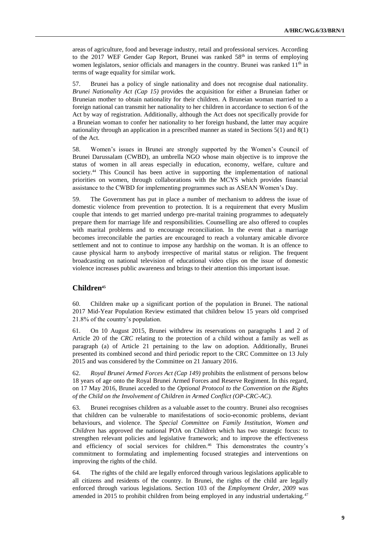areas of agriculture, food and beverage industry, retail and professional services. According to the 2017 WEF Gender Gap Report, Brunei was ranked  $58<sup>th</sup>$  in terms of employing women legislators, senior officials and managers in the country. Brunei was ranked  $11<sup>th</sup>$  in terms of wage equality for similar work.

57. Brunei has a policy of single nationality and does not recognise dual nationality. *Brunei Nationality Act (Cap 15)* provides the acquisition for either a Bruneian father or Bruneian mother to obtain nationality for their children. A Bruneian woman married to a foreign national can transmit her nationality to her children in accordance to section 6 of the Act by way of registration. Additionally, although the Act does not specifically provide for a Bruneian woman to confer her nationality to her foreign husband, the latter may acquire nationality through an application in a prescribed manner as stated in Sections 5(1) and 8(1) of the Act.

58. Women's issues in Brunei are strongly supported by the Women's Council of Brunei Darussalam (CWBD), an umbrella NGO whose main objective is to improve the status of women in all areas especially in education, economy, welfare, culture and society.<sup>44</sup> This Council has been active in supporting the implementation of national priorities on women, through collaborations with the MCYS which provides financial assistance to the CWBD for implementing programmes such as ASEAN Women's Day.

59. The Government has put in place a number of mechanism to address the issue of domestic violence from prevention to protection. It is a requirement that every Muslim couple that intends to get married undergo pre-marital training programmes to adequately prepare them for marriage life and responsibilities. Counselling are also offered to couples with marital problems and to encourage reconciliation. In the event that a marriage becomes irreconcilable the parties are encouraged to reach a voluntary amicable divorce settlement and not to continue to impose any hardship on the woman. It is an offence to cause physical harm to anybody irrespective of marital status or religion. The frequent broadcasting on national television of educational video clips on the issue of domestic violence increases public awareness and brings to their attention this important issue.

## **Children<sup>45</sup>**

60. Children make up a significant portion of the population in Brunei. The national 2017 Mid-Year Population Review estimated that children below 15 years old comprised 21.8% of the country's population.

61. On 10 August 2015, Brunei withdrew its reservations on paragraphs 1 and 2 of Article 20 of the *CRC* relating to the protection of a child without a family as well as paragraph (a) of Article 21 pertaining to the law on adoption. Additionally, Brunei presented its combined second and third periodic report to the CRC Committee on 13 July 2015 and was considered by the Committee on 21 January 2016.

62. *Royal Brunei Armed Forces Act (Cap 149)* prohibits the enlistment of persons below 18 years of age onto the Royal Brunei Armed Forces and Reserve Regiment. In this regard, on 17 May 2016, Brunei acceded to the *Optional Protocol to the Convention on the Rights of the Child on the Involvement of Children in Armed Conflict (OP-CRC-AC).*

63. Brunei recognises children as a valuable asset to the country. Brunei also recognises that children can be vulnerable to manifestations of socio-economic problems, deviant behaviours, and violence. The *Special Committee on Family Institution, Women and Children* has approved the national POA on Children which has two strategic focus: to strengthen relevant policies and legislative framework; and to improve the effectiveness and efficiency of social services for children. <sup>46</sup> This demonstrates the country's commitment to formulating and implementing focused strategies and interventions on improving the rights of the child.

64. The rights of the child are legally enforced through various legislations applicable to all citizens and residents of the country. In Brunei, the rights of the child are legally enforced through various legislations. Section 103 of the *Employment Order, 2009* was amended in 2015 to prohibit children from being employed in any industrial undertaking.<sup>47</sup>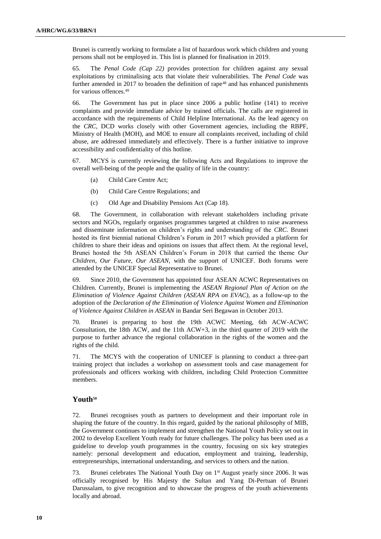Brunei is currently working to formulate a list of hazardous work which children and young persons shall not be employed in. This list is planned for finalisation in 2019.

65. The *Penal Code (Cap 22)* provides protection for children against any sexual exploitations by criminalising acts that violate their vulnerabilities. The *Penal Code* was further amended in 2017 to broaden the definition of rape<sup>48</sup> and has enhanced punishments for various offences.<sup>49</sup>

66. The Government has put in place since 2006 a public hotline (141) to receive complaints and provide immediate advice by trained officials. The calls are registered in accordance with the requirements of Child Helpline International. As the lead agency on the *CRC*, DCD works closely with other Government agencies, including the RBPF, Ministry of Health (MOH), and MOE to ensure all complaints received, including of child abuse, are addressed immediately and effectively. There is a further initiative to improve accessibility and confidentiality of this hotline.

67. MCYS is currently reviewing the following Acts and Regulations to improve the overall well-being of the people and the quality of life in the country:

- (a) Child Care Centre Act;
- (b) Child Care Centre Regulations; and
- (c) Old Age and Disability Pensions Act (Cap 18).

68. The Government, in collaboration with relevant stakeholders including private sectors and NGOs, regularly organises programmes targeted at children to raise awareness and disseminate information on children's rights and understanding of the *CRC*. Brunei hosted its first biennial national Children's Forum in 2017 which provided a platform for children to share their ideas and opinions on issues that affect them. At the regional level, Brunei hosted the 5th ASEAN Children's Forum in 2018 that carried the theme *Our Children, Our Future, Our ASEAN*, with the support of UNICEF. Both forums were attended by the UNICEF Special Representative to Brunei.

69. Since 2010, the Government has appointed four ASEAN ACWC Representatives on Children. Currently, Brunei is implementing the *ASEAN Regional Plan of Action on the Elimination of Violence Against Children (ASEAN RPA on EVAC),* as a follow-up to the adoption of the *Declaration of the Elimination of Violence Against Women and Elimination of Violence Against Children in ASEAN* in Bandar Seri Begawan in October 2013.

70. Brunei is preparing to host the 19th ACWC Meeting, 6th ACW-ACWC Consultation, the 18th ACW, and the 11th ACW+3, in the third quarter of 2019 with the purpose to further advance the regional collaboration in the rights of the women and the rights of the child.

71. The MCYS with the cooperation of UNICEF is planning to conduct a three-part training project that includes a workshop on assessment tools and case management for professionals and officers working with children, including Child Protection Committee members.

## **Youth<sup>50</sup>**

72. Brunei recognises youth as partners to development and their important role in shaping the future of the country. In this regard, guided by the national philosophy of MIB, the Government continues to implement and strengthen the National Youth Policy set out in 2002 to develop Excellent Youth ready for future challenges. The policy has been used as a guideline to develop youth programmes in the country, focusing on six key strategies namely: personal development and education, employment and training, leadership, entrepreneurships, international understanding, and services to others and the nation.

73. Brunei celebrates The National Youth Day on 1<sup>st</sup> August yearly since 2006. It was officially recognised by His Majesty the Sultan and Yang Di-Pertuan of Brunei Darussalam, to give recognition and to showcase the progress of the youth achievements locally and abroad.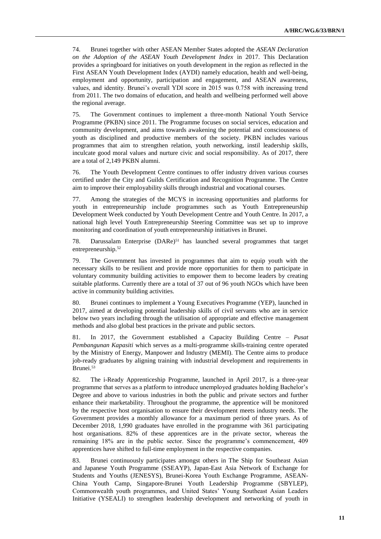74. Brunei together with other ASEAN Member States adopted the *ASEAN Declaration on the Adoption of the ASEAN Youth Development Index* in 2017. This Declaration provides a springboard for initiatives on youth development in the region as reflected in the First ASEAN Youth Development Index (AYDI) namely education, health and well-being, employment and opportunity, participation and engagement, and ASEAN awareness, values, and identity. Brunei's overall YDI score in 2015 was 0.758 with increasing trend from 2011. The two domains of education, and health and wellbeing performed well above the regional average.

75. The Government continues to implement a three-month National Youth Service Programme (PKBN) since 2011. The Programme focuses on social services, education and community development, and aims towards awakening the potential and consciousness of youth as disciplined and productive members of the society. PKBN includes various programmes that aim to strengthen relation, youth networking, instil leadership skills, inculcate good moral values and nurture civic and social responsibility. As of 2017, there are a total of 2,149 PKBN alumni.

76. The Youth Development Centre continues to offer industry driven various courses certified under the City and Guilds Certification and Recognition Programme. The Centre aim to improve their employability skills through industrial and vocational courses.

77. Among the strategies of the MCYS in increasing opportunities and platforms for youth in entrepreneurship include programmes such as Youth Entrepreneurship Development Week conducted by Youth Development Centre and Youth Centre. In 2017, a national high level Youth Entrepreneurship Steering Committee was set up to improve monitoring and coordination of youth entrepreneurship initiatives in Brunei.

78. Darussalam Enterprise (DARe)<sup>51</sup> has launched several programmes that target entrepreneurship.<sup>52</sup>

79. The Government has invested in programmes that aim to equip youth with the necessary skills to be resilient and provide more opportunities for them to participate in voluntary community building activities to empower them to become leaders by creating suitable platforms. Currently there are a total of 37 out of 96 youth NGOs which have been active in community building activities.

80. Brunei continues to implement a Young Executives Programme (YEP), launched in 2017, aimed at developing potential leadership skills of civil servants who are in service below two years including through the utilisation of appropriate and effective management methods and also global best practices in the private and public sectors.

81. In 2017, the Government established a Capacity Building Centre – *Pusat Pembangunan Kapasiti* which serves as a multi-programme skills-training centre operated by the Ministry of Energy, Manpower and Industry (MEMI). The Centre aims to produce job-ready graduates by aligning training with industrial development and requirements in Brunei.<sup>53</sup>

82. The i-Ready Apprenticeship Programme, launched in April 2017, is a three-year programme that serves as a platform to introduce unemployed graduates holding Bachelor's Degree and above to various industries in both the public and private sectors and further enhance their marketability. Throughout the programme, the apprentice will be monitored by the respective host organisation to ensure their development meets industry needs. The Government provides a monthly allowance for a maximum period of three years. As of December 2018, 1,990 graduates have enrolled in the programme with 361 participating host organisations. 82% of these apprentices are in the private sector, whereas the remaining 18% are in the public sector. Since the programme's commencement, 409 apprentices have shifted to full-time employment in the respective companies.

83. Brunei continuously participates amongst others in The Ship for Southeast Asian and Japanese Youth Programme (SSEAYP), Japan-East Asia Network of Exchange for Students and Youths (JENESYS), Brunei-Korea Youth Exchange Programme, ASEAN-China Youth Camp, Singapore-Brunei Youth Leadership Programme (SBYLEP), Commonwealth youth programmes, and United States' Young Southeast Asian Leaders Initiative (YSEALI) to strengthen leadership development and networking of youth in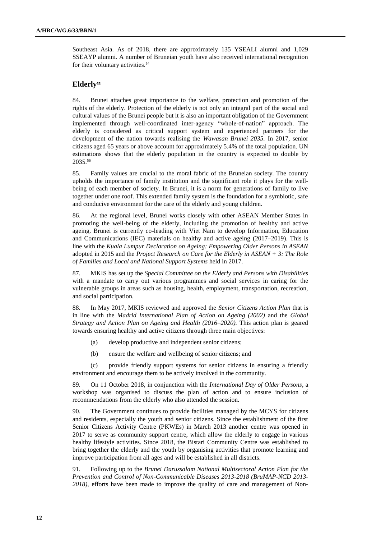Southeast Asia. As of 2018, there are approximately 135 YSEALI alumni and 1,029 SSEAYP alumni. A number of Bruneian youth have also received international recognition for their voluntary activities.<sup>54</sup>

## **Elderly<sup>55</sup>**

84. Brunei attaches great importance to the welfare, protection and promotion of the rights of the elderly. Protection of the elderly is not only an integral part of the social and cultural values of the Brunei people but it is also an important obligation of the Government implemented through well-coordinated inter-agency "whole-of-nation" approach. The elderly is considered as critical support system and experienced partners for the development of the nation towards realising the *Wawasan Brunei 2035.* In 2017, senior citizens aged 65 years or above account for approximately 5.4% of the total population. UN estimations shows that the elderly population in the country is expected to double by 2035.<sup>56</sup>

85. Family values are crucial to the moral fabric of the Bruneian society. The country upholds the importance of family institution and the significant role it plays for the wellbeing of each member of society. In Brunei, it is a norm for generations of family to live together under one roof. This extended family system is the foundation for a symbiotic, safe and conducive environment for the care of the elderly and young children.

86. At the regional level, Brunei works closely with other ASEAN Member States in promoting the well-being of the elderly, including the promotion of healthy and active ageing. Brunei is currently co-leading with Viet Nam to develop Information, Education and Communications (IEC) materials on healthy and active ageing (2017–2019). This is line with the *Kuala Lumpur Declaration on Ageing: Empowering Older Persons in ASEAN* adopted in 2015 and the *Project Research on Care for the Elderly in ASEAN + 3: The Role of Families and Local and National Support Systems* held in 2017.

87. MKIS has set up the *Special Committee on the Elderly and Persons with Disabilities* with a mandate to carry out various programmes and social services in caring for the vulnerable groups in areas such as housing, health, employment, transportation, recreation, and social participation.

88. In May 2017, MKIS reviewed and approved the *Senior Citizens Action Plan* that is in line with the *Madrid International Plan of Action on Ageing (2002)* and the *Global Strategy and Action Plan on Ageing and Health (2016–2020).* This action plan is geared towards ensuring healthy and active citizens through three main objectives:

- (a) develop productive and independent senior citizens;
- (b) ensure the welfare and wellbeing of senior citizens; and

(c) provide friendly support systems for senior citizens in ensuring a friendly environment and encourage them to be actively involved in the community.

89. On 11 October 2018, in conjunction with the *International Day of Older Persons*, a workshop was organised to discuss the plan of action and to ensure inclusion of recommendations from the elderly who also attended the session.

90. The Government continues to provide facilities managed by the MCYS for citizens and residents, especially the youth and senior citizens. Since the establishment of the first Senior Citizens Activity Centre (PKWEs) in March 2013 another centre was opened in 2017 to serve as community support centre, which allow the elderly to engage in various healthy lifestyle activities. Since 2018, the Bistari Community Centre was established to bring together the elderly and the youth by organising activities that promote learning and improve participation from all ages and will be established in all districts.

91. Following up to the *Brunei Darussalam National Multisectoral Action Plan for the Prevention and Control of Non-Communicable Diseases 2013-2018 (BruMAP-NCD 2013- 2018),* efforts have been made to improve the quality of care and management of Non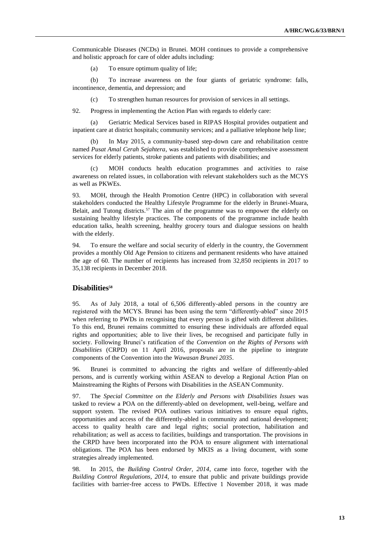Communicable Diseases (NCDs) in Brunei. MOH continues to provide a comprehensive and holistic approach for care of older adults including:

(a) To ensure optimum quality of life;

(b) To increase awareness on the four giants of geriatric syndrome: falls, incontinence, dementia, and depression; and

(c) To strengthen human resources for provision of services in all settings.

92. Progress in implementing the Action Plan with regards to elderly care:

(a) Geriatric Medical Services based in RIPAS Hospital provides outpatient and inpatient care at district hospitals; community services; and a palliative telephone help line;

(b) In May 2015, a community-based step-down care and rehabilitation centre named *Pusat Amal Cerah Sejahtera*, was established to provide comprehensive assessment services for elderly patients, stroke patients and patients with disabilities; and

MOH conducts health education programmes and activities to raise awareness on related issues, in collaboration with relevant stakeholders such as the MCYS as well as PKWEs.

93. MOH, through the Health Promotion Centre (HPC) in collaboration with several stakeholders conducted the Healthy Lifestyle Programme for the elderly in Brunei-Muara, Belait, and Tutong districts.<sup>57</sup> The aim of the programme was to empower the elderly on sustaining healthy lifestyle practices. The components of the programme include health education talks, health screening, healthy grocery tours and dialogue sessions on health with the elderly.

94. To ensure the welfare and social security of elderly in the country, the Government provides a monthly Old Age Pension to citizens and permanent residents who have attained the age of 60. The number of recipients has increased from 32,850 recipients in 2017 to 35,138 recipients in December 2018.

#### **Disabilities<sup>58</sup>**

95. As of July 2018, a total of 6,506 differently-abled persons in the country are registered with the MCYS. Brunei has been using the term "differently-abled" since 2015 when referring to PWDs in recognising that every person is gifted with different abilities. To this end, Brunei remains committed to ensuring these individuals are afforded equal rights and opportunities; able to live their lives, be recognised and participate fully in society. Following Brunei's ratification of the *Convention on the Rights of Persons with Disabilities* (CRPD) on 11 April 2016, proposals are in the pipeline to integrate components of the Convention into the *Wawasan Brunei 2035*.

96. Brunei is committed to advancing the rights and welfare of differently-abled persons, and is currently working within ASEAN to develop a Regional Action Plan on Mainstreaming the Rights of Persons with Disabilities in the ASEAN Community.

97. The *Special Committee on the Elderly and Persons with Disabilities Issues* was tasked to review a POA on the differently-abled on development, well-being, welfare and support system. The revised POA outlines various initiatives to ensure equal rights, opportunities and access of the differently-abled in community and national development; access to quality health care and legal rights; social protection, habilitation and rehabilitation; as well as access to facilities, buildings and transportation. The provisions in the CRPD have been incorporated into the POA to ensure alignment with international obligations. The POA has been endorsed by MKIS as a living document, with some strategies already implemented.

98. In 2015, the *Building Control Order, 2014*, came into force, together with the *Building Control Regulations, 2014,* to ensure that public and private buildings provide facilities with barrier-free access to PWDs. Effective 1 November 2018, it was made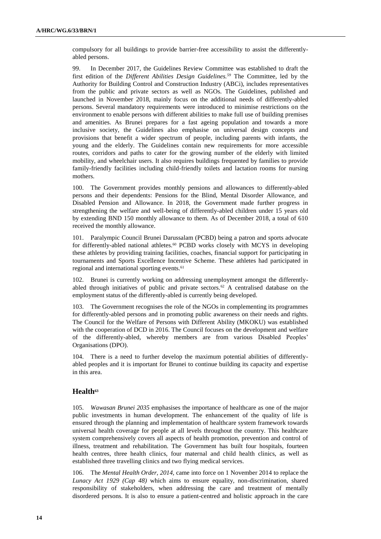compulsory for all buildings to provide barrier-free accessibility to assist the differentlyabled persons.

99. In December 2017, the Guidelines Review Committee was established to draft the first edition of the *Different Abilities Design Guidelines.<sup>59</sup>* The Committee, led by the Authority for Building Control and Construction Industry (ABCi), includes representatives from the public and private sectors as well as NGOs. The Guidelines, published and launched in November 2018, mainly focus on the additional needs of differently-abled persons. Several mandatory requirements were introduced to minimise restrictions on the environment to enable persons with different abilities to make full use of building premises and amenities. As Brunei prepares for a fast ageing population and towards a more inclusive society, the Guidelines also emphasise on universal design concepts and provisions that benefit a wider spectrum of people, including parents with infants, the young and the elderly. The Guidelines contain new requirements for more accessible routes, corridors and paths to cater for the growing number of the elderly with limited mobility, and wheelchair users. It also requires buildings frequented by families to provide family-friendly facilities including child-friendly toilets and lactation rooms for nursing mothers.

100. The Government provides monthly pensions and allowances to differently-abled persons and their dependents: Pensions for the Blind, Mental Disorder Allowance, and Disabled Pension and Allowance. In 2018, the Government made further progress in strengthening the welfare and well-being of differently-abled children under 15 years old by extending BND 150 monthly allowance to them. As of December 2018, a total of 610 received the monthly allowance.

101. Paralympic Council Brunei Darussalam (PCBD) being a patron and sports advocate for differently-abled national athletes.<sup>60</sup> PCBD works closely with MCYS in developing these athletes by providing training facilities, coaches, financial support for participating in tournaments and Sports Excellence Incentive Scheme. These athletes had participated in regional and international sporting events.<sup>61</sup>

102. Brunei is currently working on addressing unemployment amongst the differentlyabled through initiatives of public and private sectors.<sup>62</sup> A centralised database on the employment status of the differently-abled is currently being developed.

103. The Government recognises the role of the NGOs in complementing its programmes for differently-abled persons and in promoting public awareness on their needs and rights. The Council for the Welfare of Persons with Different Ability (MKOKU) was established with the cooperation of DCD in 2016. The Council focuses on the development and welfare of the differently-abled, whereby members are from various Disabled Peoples' Organisations (DPO).

104. There is a need to further develop the maximum potential abilities of differentlyabled peoples and it is important for Brunei to continue building its capacity and expertise in this area.

## **Health<sup>63</sup>**

105. *Wawasan Brunei 2035* emphasises the importance of healthcare as one of the major public investments in human development. The enhancement of the quality of life is ensured through the planning and implementation of healthcare system framework towards universal health coverage for people at all levels throughout the country. This healthcare system comprehensively covers all aspects of health promotion, prevention and control of illness, treatment and rehabilitation. The Government has built four hospitals, fourteen health centres, three health clinics, four maternal and child health clinics, as well as established three travelling clinics and two flying medical services.

106. The *Mental Health Order, 2014,* came into force on 1 November 2014 to replace the *Lunacy Act 1929 (Cap 48)* which aims to ensure equality, non-discrimination, shared responsibility of stakeholders, when addressing the care and treatment of mentally disordered persons. It is also to ensure a patient-centred and holistic approach in the care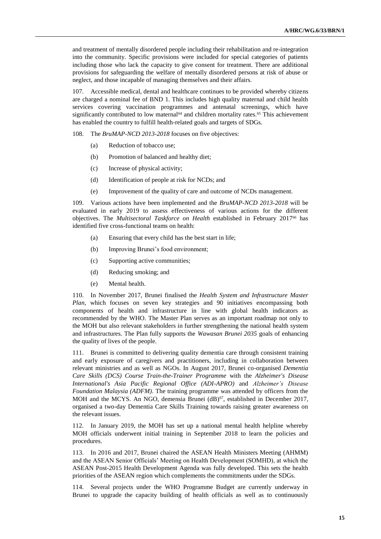and treatment of mentally disordered people including their rehabilitation and re-integration into the community. Specific provisions were included for special categories of patients including those who lack the capacity to give consent for treatment. There are additional provisions for safeguarding the welfare of mentally disordered persons at risk of abuse or neglect, and those incapable of managing themselves and their affairs.

107. Accessible medical, dental and healthcare continues to be provided whereby citizens are charged a nominal fee of BND 1. This includes high quality maternal and child health services covering vaccination programmes and antenatal screenings, which have significantly contributed to low maternal<sup>64</sup> and children mortality rates.<sup>65</sup> This achievement has enabled the country to fulfill health-related goals and targets of SDGs.

108. The *BruMAP-NCD 2013-2018* focuses on five objectives:

- (a) Reduction of tobacco use;
- (b) Promotion of balanced and healthy diet;
- (c) Increase of physical activity;
- (d) Identification of people at risk for NCDs; and
- (e) Improvement of the quality of care and outcome of NCDs management.

109. Various actions have been implemented and the *BruMAP-NCD 2013-2018* will be evaluated in early 2019 to assess effectiveness of various actions for the different objectives. The *Multisectoral Taskforce on Health* established in February 2017<sup>66</sup> has identified five cross-functional teams on health:

- (a) Ensuring that every child has the best start in life;
- (b) Improving Brunei's food environment;
- (c) Supporting active communities;
- (d) Reducing smoking; and
- (e) Mental health.

110. In November 2017, Brunei finalised the *Health System and Infrastructure Master Plan*, which focuses on seven key strategies and 90 initiatives encompassing both components of health and infrastructure in line with global health indicators as recommended by the WHO. The Master Plan serves as an important roadmap not only to the MOH but also relevant stakeholders in further strengthening the national health system and infrastructures. The Plan fully supports the *Wawasan Brunei 2035* goals of enhancing the quality of lives of the people.

111. Brunei is committed to delivering quality dementia care through consistent training and early exposure of caregivers and practitioners, including in collaboration between relevant ministries and as well as NGOs. In August 2017, Brunei co-organised *Dementia Care Skills (DCS) Course Train-the-Trainer Programme* with the *Alzheimer's Disease International's Asia Pacific Regional Office (ADI-APRO)* and *Alzheimer's Disease Foundation Malaysia (ADFM)*. The training programme was attended by officers from the MOH and the MCYS. An NGO, demensia Brunei (dB)<sup>67</sup>, established in December 2017, organised a two-day Dementia Care Skills Training towards raising greater awareness on the relevant issues.

112. In January 2019, the MOH has set up a national mental health helpline whereby MOH officials underwent initial training in September 2018 to learn the policies and procedures.

113. In 2016 and 2017, Brunei chaired the ASEAN Health Ministers Meeting (AHMM) and the ASEAN Senior Officials' Meeting on Health Development (SOMHD), at which the ASEAN Post-2015 Health Development Agenda was fully developed. This sets the health priorities of the ASEAN region which complements the commitments under the SDGs.

114. Several projects under the WHO Programme Budget are currently underway in Brunei to upgrade the capacity building of health officials as well as to continuously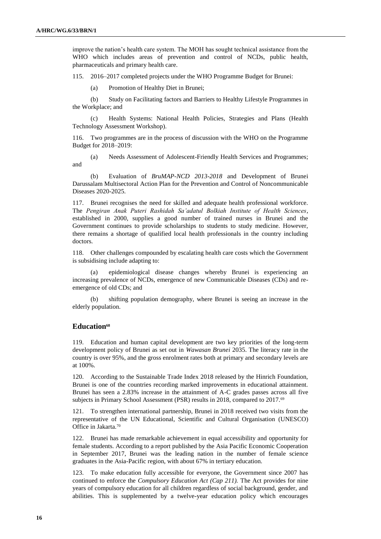improve the nation's health care system. The MOH has sought technical assistance from the WHO which includes areas of prevention and control of NCDs, public health, pharmaceuticals and primary health care.

115. 2016–2017 completed projects under the WHO Programme Budget for Brunei:

(a) Promotion of Healthy Diet in Brunei;

(b) Study on Facilitating factors and Barriers to Healthy Lifestyle Programmes in the Workplace; and

(c) Health Systems: National Health Policies, Strategies and Plans (Health Technology Assessment Workshop).

116. Two programmes are in the process of discussion with the WHO on the Programme Budget for 2018–2019:

(a) Needs Assessment of Adolescent-Friendly Health Services and Programmes; and

(b) Evaluation of *BruMAP-NCD 2013-2018* and Development of Brunei Darussalam Multisectoral Action Plan for the Prevention and Control of Noncommunicable Diseases 2020-2025.

117. Brunei recognises the need for skilled and adequate health professional workforce. The *Pengiran Anak Puteri Rashidah Sa'adatul Bolkiah Institute of Health Sciences*, established in 2000, supplies a good number of trained nurses in Brunei and the Government continues to provide scholarships to students to study medicine. However, there remains a shortage of qualified local health professionals in the country including doctors.

118. Other challenges compounded by escalating health care costs which the Government is subsidising include adapting to:

(a) epidemiological disease changes whereby Brunei is experiencing an increasing prevalence of NCDs, emergence of new Communicable Diseases (CDs) and reemergence of old CDs; and

(b) shifting population demography, where Brunei is seeing an increase in the elderly population.

#### **Education<sup>68</sup>**

119. Education and human capital development are two key priorities of the long-term development policy of Brunei as set out in *Wawasan Brunei* 2035. The literacy rate in the country is over 95%, and the gross enrolment rates both at primary and secondary levels are at 100%.

120. According to the Sustainable Trade Index 2018 released by the Hinrich Foundation, Brunei is one of the countries recording marked improvements in educational attainment. Brunei has seen a 2.83% increase in the attainment of A-C grades passes across all five subjects in Primary School Assessment (PSR) results in 2018, compared to 2017.<sup>69</sup>

121. To strengthen international partnership, Brunei in 2018 received two visits from the representative of the UN Educational, Scientific and Cultural Organisation (UNESCO) Office in Jakarta.<sup>70</sup>

122. Brunei has made remarkable achievement in equal accessibility and opportunity for female students. According to a report published by the Asia Pacific Economic Cooperation in September 2017, Brunei was the leading nation in the number of female science graduates in the Asia-Pacific region, with about 67% in tertiary education.

123. To make education fully accessible for everyone, the Government since 2007 has continued to enforce the *Compulsory Education Act (Cap 211).* The Act provides for nine years of compulsory education for all children regardless of social background, gender, and abilities. This is supplemented by a twelve-year education policy which encourages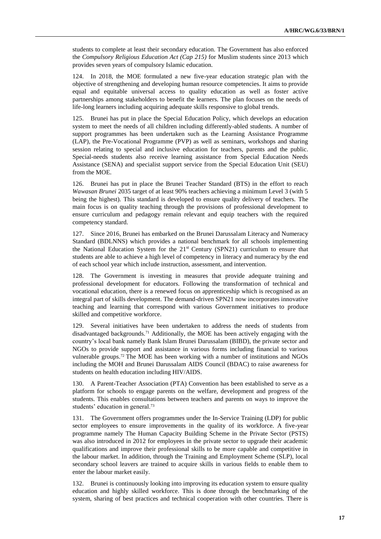students to complete at least their secondary education. The Government has also enforced the *Compulsory Religious Education Act (Cap 215)* for Muslim students since 2013 which provides seven years of compulsory Islamic education.

124. In 2018, the MOE formulated a new five-year education strategic plan with the objective of strengthening and developing human resource competencies. It aims to provide equal and equitable universal access to quality education as well as foster active partnerships among stakeholders to benefit the learners. The plan focuses on the needs of life-long learners including acquiring adequate skills responsive to global trends.

125. Brunei has put in place the Special Education Policy, which develops an education system to meet the needs of all children including differently-abled students. A number of support programmes has been undertaken such as the Learning Assistance Programme (LAP), the Pre-Vocational Programme (PVP) as well as seminars, workshops and sharing session relating to special and inclusive education for teachers, parents and the public. Special-needs students also receive learning assistance from Special Education Needs Assistance (SENA) and specialist support service from the Special Education Unit (SEU) from the MOE.

126. Brunei has put in place the Brunei Teacher Standard (BTS) in the effort to reach *Wawasan Brunei* 2035 target of at least 90% teachers achieving a minimum Level 3 (with 5 being the highest). This standard is developed to ensure quality delivery of teachers. The main focus is on quality teaching through the provisions of professional development to ensure curriculum and pedagogy remain relevant and equip teachers with the required competency standard.

127. Since 2016, Brunei has embarked on the Brunei Darussalam Literacy and Numeracy Standard (BDLNNS) which provides a national benchmark for all schools implementing the National Education System for the 21st Century (SPN21) curriculum to ensure that students are able to achieve a high level of competency in literacy and numeracy by the end of each school year which include instruction, assessment, and intervention.

128. The Government is investing in measures that provide adequate training and professional development for educators. Following the transformation of technical and vocational education, there is a renewed focus on apprenticeship which is recognised as an integral part of skills development. The demand-driven SPN21 now incorporates innovative teaching and learning that correspond with various Government initiatives to produce skilled and competitive workforce.

129. Several initiatives have been undertaken to address the needs of students from disadvantaged backgrounds.<sup>71</sup> Additionally, the MOE has been actively engaging with the country's local bank namely Bank Islam Brunei Darussalam (BIBD), the private sector and NGOs to provide support and assistance in various forms including financial to various vulnerable groups.<sup>72</sup> The MOE has been working with a number of institutions and NGOs including the MOH and Brunei Darussalam AIDS Council (BDAC) to raise awareness for students on health education including HIV/AIDS.

130. A Parent-Teacher Association (PTA) Convention has been established to serve as a platform for schools to engage parents on the welfare, development and progress of the students. This enables consultations between teachers and parents on ways to improve the students' education in general.<sup>73</sup>

131. The Government offers programmes under the In-Service Training (LDP) for public sector employees to ensure improvements in the quality of its workforce. A five-year programme namely The Human Capacity Building Scheme in the Private Sector (PSTS) was also introduced in 2012 for employees in the private sector to upgrade their academic qualifications and improve their professional skills to be more capable and competitive in the labour market. In addition, through the Training and Employment Scheme (SLP), local secondary school leavers are trained to acquire skills in various fields to enable them to enter the labour market easily.

132. Brunei is continuously looking into improving its education system to ensure quality education and highly skilled workforce. This is done through the benchmarking of the system, sharing of best practices and technical cooperation with other countries. There is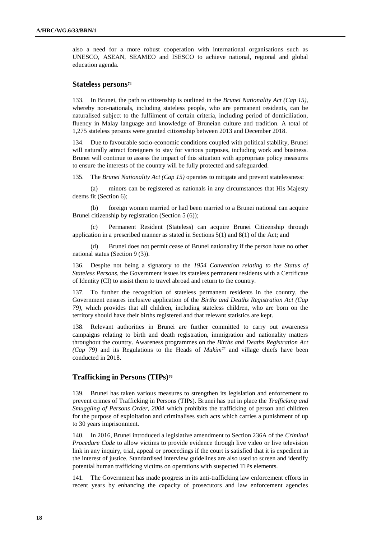also a need for a more robust cooperation with international organisations such as UNESCO, ASEAN, SEAMEO and ISESCO to achieve national, regional and global education agenda.

#### **Stateless persons<sup>74</sup>**

133. In Brunei, the path to citizenship is outlined in the *Brunei Nationality Act (Cap 15),* whereby non-nationals, including stateless people, who are permanent residents, can be naturalised subject to the fulfilment of certain criteria, including period of domiciliation, fluency in Malay language and knowledge of Bruneian culture and tradition. A total of 1,275 stateless persons were granted citizenship between 2013 and December 2018.

134. Due to favourable socio-economic conditions coupled with political stability, Brunei will naturally attract foreigners to stay for various purposes, including work and business. Brunei will continue to assess the impact of this situation with appropriate policy measures to ensure the interests of the country will be fully protected and safeguarded.

135. The *Brunei Nationality Act (Cap 15)* operates to mitigate and prevent statelessness:

(a) minors can be registered as nationals in any circumstances that His Majesty deems fit (Section 6);

(b) foreign women married or had been married to a Brunei national can acquire Brunei citizenship by registration (Section 5 (6));

(c) Permanent Resident (Stateless) can acquire Brunei Citizenship through application in a prescribed manner as stated in Sections 5(1) and 8(1) of the Act; and

(d) Brunei does not permit cease of Brunei nationality if the person have no other national status (Section 9 (3)).

136. Despite not being a signatory to the *1954 Convention relating to the Status of Stateless Persons*, the Government issues its stateless permanent residents with a Certificate of Identity (CI) to assist them to travel abroad and return to the country.

137. To further the recognition of stateless permanent residents in the country, the Government ensures inclusive application of the *Births and Deaths Registration Act (Cap 79)*, which provides that all children, including stateless children, who are born on the territory should have their births registered and that relevant statistics are kept.

138. Relevant authorities in Brunei are further committed to carry out awareness campaigns relating to birth and death registration, immigration and nationality matters throughout the country. Awareness programmes on the *Births and Deaths Registration Act (Cap 79)* and its Regulations to the Heads of *Mukim<sup>75</sup>* and village chiefs have been conducted in 2018.

## **Trafficking in Persons (TIPs)<sup>76</sup>**

139. Brunei has taken various measures to strengthen its legislation and enforcement to prevent crimes of Trafficking in Persons (TIPs). Brunei has put in place the *Trafficking and Smuggling of Persons Order, 2004* which prohibits the trafficking of person and children for the purpose of exploitation and criminalises such acts which carries a punishment of up to 30 years imprisonment.

140. In 2016, Brunei introduced a legislative amendment to Section 236A of the *Criminal Procedure Code* to allow victims to provide evidence through live video or live television link in any inquiry, trial, appeal or proceedings if the court is satisfied that it is expedient in the interest of justice. Standardised interview guidelines are also used to screen and identify potential human trafficking victims on operations with suspected TIPs elements.

141. The Government has made progress in its anti-trafficking law enforcement efforts in recent years by enhancing the capacity of prosecutors and law enforcement agencies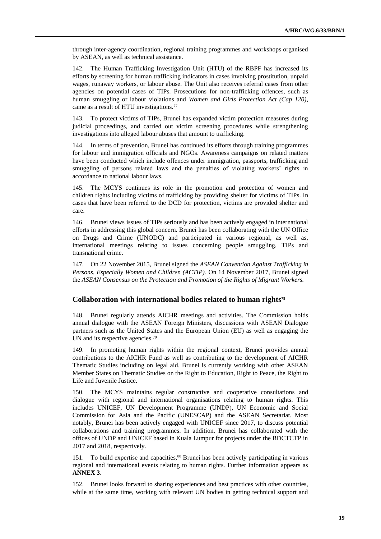through inter-agency coordination, regional training programmes and workshops organised by ASEAN, as well as technical assistance.

142. The Human Trafficking Investigation Unit (HTU) of the RBPF has increased its efforts by screening for human trafficking indicators in cases involving prostitution, unpaid wages, runaway workers, or labour abuse. The Unit also receives referral cases from other agencies on potential cases of TIPs. Prosecutions for non-trafficking offences, such as human smuggling or labour violations and *Women and Girls Protection Act (Cap 120)*, came as a result of HTU investigations.<sup>77</sup>

143. To protect victims of TIPs, Brunei has expanded victim protection measures during judicial proceedings, and carried out victim screening procedures while strengthening investigations into alleged labour abuses that amount to trafficking.

144. In terms of prevention, Brunei has continued its efforts through training programmes for labour and immigration officials and NGOs. Awareness campaigns on related matters have been conducted which include offences under immigration, passports, trafficking and smuggling of persons related laws and the penalties of violating workers' rights in accordance to national labour laws.

145. The MCYS continues its role in the promotion and protection of women and children rights including victims of trafficking by providing shelter for victims of TIPs. In cases that have been referred to the DCD for protection, victims are provided shelter and care.

146. Brunei views issues of TIPs seriously and has been actively engaged in international efforts in addressing this global concern. Brunei has been collaborating with the UN Office on Drugs and Crime (UNODC) and participated in various regional, as well as, international meetings relating to issues concerning people smuggling, TIPs and transnational crime.

147. On 22 November 2015, Brunei signed the *ASEAN Convention Against Trafficking in Persons, Especially Women and Children (ACTIP).* On 14 November 2017, Brunei signed the *ASEAN Consensus on the Protection and Promotion of the Rights of Migrant Workers.*

#### **Collaboration with international bodies related to human rights<sup>78</sup>**

148. Brunei regularly attends AICHR meetings and activities. The Commission holds annual dialogue with the ASEAN Foreign Ministers, discussions with ASEAN Dialogue partners such as the United States and the European Union (EU) as well as engaging the UN and its respective agencies.<sup>79</sup>

149. In promoting human rights within the regional context, Brunei provides annual contributions to the AICHR Fund as well as contributing to the development of AICHR Thematic Studies including on legal aid. Brunei is currently working with other ASEAN Member States on Thematic Studies on the Right to Education, Right to Peace, the Right to Life and Juvenile Justice.

150. The MCYS maintains regular constructive and cooperative consultations and dialogue with regional and international organisations relating to human rights. This includes UNICEF, UN Development Programme (UNDP), UN Economic and Social Commission for Asia and the Pacific (UNESCAP) and the ASEAN Secretariat. Most notably, Brunei has been actively engaged with UNICEF since 2017, to discuss potential collaborations and training programmes. In addition, Brunei has collaborated with the offices of UNDP and UNICEF based in Kuala Lumpur for projects under the BDCTCTP in 2017 and 2018, respectively.

151. To build expertise and capacities,<sup>80</sup> Brunei has been actively participating in various regional and international events relating to human rights. Further information appears as **ANNEX 3**.

152. Brunei looks forward to sharing experiences and best practices with other countries, while at the same time, working with relevant UN bodies in getting technical support and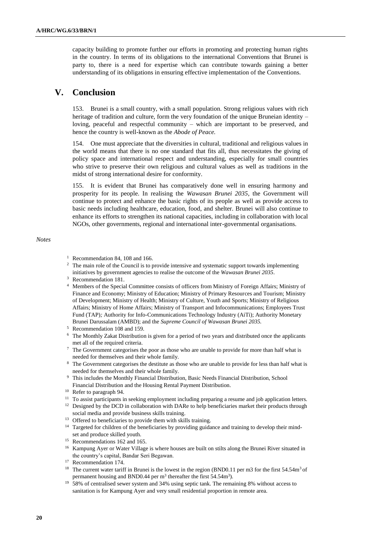capacity building to promote further our efforts in promoting and protecting human rights in the country. In terms of its obligations to the international Conventions that Brunei is party to, there is a need for expertise which can contribute towards gaining a better understanding of its obligations in ensuring effective implementation of the Conventions.

## **V. Conclusion**

153. Brunei is a small country, with a small population. Strong religious values with rich heritage of tradition and culture, form the very foundation of the unique Bruneian identity – loving, peaceful and respectful community – which are important to be preserved, and hence the country is well-known as the *Abode of Peace.*

154. One must appreciate that the diversities in cultural, traditional and religious values in the world means that there is no one standard that fits all, thus necessitates the giving of policy space and international respect and understanding, especially for small countries who strive to preserve their own religious and cultural values as well as traditions in the midst of strong international desire for conformity.

155. It is evident that Brunei has comparatively done well in ensuring harmony and prosperity for its people. In realising the *Wawasan Brunei 2035*, the Government will continue to protect and enhance the basic rights of its people as well as provide access to basic needs including healthcare, education, food, and shelter. Brunei will also continue to enhance its efforts to strengthen its national capacities, including in collaboration with local NGOs, other governments, regional and international inter-governmental organisations.

#### *Notes*

- <sup>1</sup> Recommendation 84, 108 and 166.
- <sup>2</sup> The main role of the Council is to provide intensive and systematic support towards implementing initiatives by government agencies to realise the outcome of the *Wawasan Brunei 2035*.
- <sup>3</sup> Recommendation 181.
- <sup>4</sup> Members of the Special Committee consists of officers from Ministry of Foreign Affairs; Ministry of Finance and Economy; Ministry of Education; Ministry of Primary Resources and Tourism; Ministry of Development; Ministry of Health; Ministry of Culture, Youth and Sports; Ministry of Religious Affairs; Ministry of Home Affairs; Ministry of Transport and Infocommunications; Employees Trust Fund (TAP)*;* Authority for Info-Communications Technology Industry (AiTi); Authority Monetary Brunei Darussalam (AMBD); and the *Supreme Council of Wawasan Brunei 2035.*
- <sup>5</sup> Recommendation 108 and 159.
- <sup>6</sup> The Monthly Zakat Distribution is given for a period of two years and distributed once the applicants met all of the required criteria.
- <sup>7</sup> The Government categorises the poor as those who are unable to provide for more than half what is needed for themselves and their whole family.
- <sup>8</sup> The Government categorises the destitute as those who are unable to provide for less than half what is needed for themselves and their whole family.
- <sup>9</sup> This includes the Monthly Financial Distribution, Basic Needs Financial Distribution, School Financial Distribution and the Housing Rental Payment Distribution.
- <sup>10</sup> Refer to paragraph 94.
- <sup>11</sup> To assist participants in seeking employment including preparing a resume and job application letters.
- $12$  Designed by the DCD in collaboration with DARe to help beneficiaries market their products through social media and provide business skills training.
- <sup>13</sup> Offered to beneficiaries to provide them with skills training.
- <sup>14</sup> Targeted for children of the beneficiaries by providing guidance and training to develop their mindset and produce skilled youth.
- <sup>15</sup> Recommendations 162 and 165.
- <sup>16</sup> Kampung Ayer or Water Village is where houses are built on stilts along the Brunei River situated in the country's capital, Bandar Seri Begawan.
- <sup>17</sup> Recommendation 174.
- <sup>18</sup> The current water tariff in Brunei is the lowest in the region (BND0.11 per m3 for the first 54.54m<sup>3</sup> of permanent housing and BND0.44 per  $m^3$  thereafter the first 54.54 $m^3$ ).
- <sup>19</sup> 58% of centralised sewer system and 34% using septic tank. The remaining 8% without access to sanitation is for Kampung Ayer and very small residential proportion in remote area.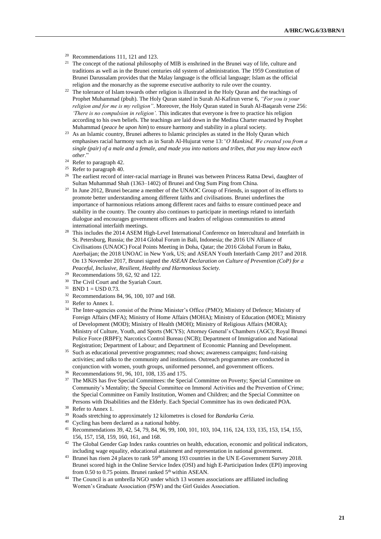- <sup>20</sup> Recommendations 111, 121 and 123.
- <sup>21</sup> The concept of the national philosophy of MIB is enshrined in the Brunei way of life, culture and traditions as well as in the Brunei centuries old system of administration. The 1959 Constitution of Brunei Darussalam provides that the Malay language is the official language; Islam as the official religion and the monarchy as the supreme executive authority to rule over the country.
- <sup>22</sup> The tolerance of Islam towards other religion is illustrated in the Holy Quran and the teachings of Prophet Muhammad (pbuh). The Holy Quran stated in Surah Al-Kafirun verse 6, *"For you is your religion and for me is my religion"*. Moreover, the Holy Quran stated in Surah Al-Baqarah verse 256: *'There is no compulsion in religion'.* This indicates that everyone is free to practice his religion according to his own beliefs. The teachings are laid down in the Medina Charter enacted by Prophet Muhammad (*peace be upon him*) to ensure harmony and stability in a plural society.
- <sup>23</sup> As an Islamic country, Brunei adheres to Islamic principles as stated in the Holy Quran which emphasises racial harmony such as in Surah Al-Hujurat verse 13:*"O Mankind, We created you from a single (pair) of a male and a female, and made you into nations and tribes, that you may know each other*."
- <sup>24</sup> Refer to paragraph 42.
- <sup>25</sup> Refer to paragraph 40.
- <sup>26</sup> The earliest record of inter-racial marriage in Brunei was between Princess Ratna Dewi, daughter of Sultan Muhammad Shah (1363–1402) of Brunei and Ong Sum Ping from China.
- <sup>27</sup> In June 2012, Brunei became a member of the UNAOC Group of Friends, in support of its efforts to promote better understanding among different faiths and civilisations. Brunei underlines the importance of harmonious relations among different races and faiths to ensure continued peace and stability in the country. The country also continues to participate in meetings related to interfaith dialogue and encourages government officers and leaders of religious communities to attend international interfaith meetings.
- <sup>28</sup> This includes the 2014 ASEM High-Level International Conference on Intercultural and Interfaith in St. Petersburg, Russia; the 2014 Global Forum in Bali, Indonesia; the 2016 UN Alliance of Civilisations (UNAOC) Focal Points Meeting in Doha, Qatar; the 2016 Global Forum in Baku, Azerbaijan; the 2018 UNOAC in New York, US; and ASEAN Youth Interfaith Camp 2017 and 2018. On 13 November 2017, Brunei signed the *ASEAN Declaration on Culture of Prevention (CoP) for a Peaceful, Inclusive, Resilient, Healthy and Harmonious Society.*
- $29$  Recommendations 59, 62, 92 and 122.
- <sup>30</sup> The Civil Court and the Syariah Court.
- $31$  BND  $1 =$  USD 0.73.
- <sup>32</sup> Recommendations 84, 96, 100, 107 and 168.
- <sup>33</sup> Refer to Annex 1.
- <sup>34</sup> The Inter-agencies consist of the Prime Minister's Office (PMO); Ministry of Defence; Ministry of Foreign Affairs (MFA); Ministry of Home Affairs (MOHA); Ministry of Education (MOE); Ministry of Development (MOD); Ministry of Health (MOH); Ministry of Religious Affairs (MORA); Ministry of Culture, Youth, and Sports (MCYS); Attorney General's Chambers (AGC); Royal Brunei Police Force (RBPF); Narcotics Control Bureau (NCB); Department of Immigration and National Registration; Department of Labour; and Department of Economic Planning and Development.
- <sup>35</sup> Such as educational preventive programmes; road shows; awareness campaigns; fund-raising activities; and talks to the community and institutions. Outreach programmes are conducted in conjunction with women, youth groups, uniformed personnel, and government officers.
- <sup>36</sup> Recommendations 91, 96, 101, 108, 135 and 175.
- <sup>37</sup> The MKIS has five Special Committees: the Special Committee on Poverty; Special Committee on Community's Mentality; the Special Committee on Immoral Activities and the Prevention of Crime; the Special Committee on Family Institution, Women and Children; and the Special Committee on Persons with Disabilities and the Elderly. Each Special Committee has its own dedicated POA.
- <sup>38</sup> Refer to Annex 1.
- <sup>39</sup> Roads stretching to approximately 12 kilometres is closed for *Bandarku Ceria.*
- <sup>40</sup> Cycling has been declared as a national hobby.
- <sup>41</sup> Recommendations 39, 42, 54, 79, 84, 96, 99, 100, 101, 103, 104, 116, 124, 133, 135, 153, 154, 155, 156, 157, 158, 159, 160, 161, and 168.
- <sup>42</sup> The Global Gender Gap Index ranks countries on health, education, economic and political indicators, including wage equality, educational attainment and representation in national government.
- <sup>43</sup> Brunei has risen 24 places to rank 59<sup>th</sup> among 193 countries in the UN E-Government Survey 2018. Brunei scored high in the Online Service Index (OSI) and high E-Participation Index (EPI) improving from 0.50 to 0.75 points. Brunei ranked 5<sup>th</sup> within ASEAN.
- <sup>44</sup> The Council is an umbrella NGO under which 13 women associations are affiliated including Women's Graduate Association (PSW) and the Girl Guides Association.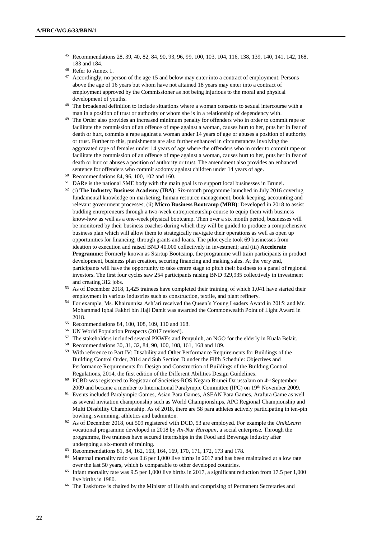- <sup>45</sup> Recommendations 28, 39, 40, 82, 84, 90, 93, 96, 99, 100, 103, 104, 116, 138, 139, 140, 141, 142, 168, 183 and 184.
- <sup>46</sup> Refer to Annex 1.
- <sup>47</sup> Accordingly, no person of the age 15 and below may enter into a contract of employment. Persons above the age of 16 years but whom have not attained 18 years may enter into a contract of employment approved by the Commissioner as not being injurious to the moral and physical development of youths.
- <sup>48</sup> The broadened definition to include situations where a woman consents to sexual intercourse with a man in a position of trust or authority or whom she is in a relationship of dependency with.
- <sup>49</sup> The Order also provides an increased minimum penalty for offenders who in order to commit rape or facilitate the commission of an offence of rape against a woman, causes hurt to her, puts her in fear of death or hurt, commits a rape against a woman under 14 years of age or abuses a position of authority or trust. Further to this, punishments are also further enhanced in circumstances involving the aggravated rape of females under 14 years of age where the offenders who in order to commit rape or facilitate the commission of an offence of rape against a woman, causes hurt to her, puts her in fear of death or hurt or abuses a position of authority or trust. The amendment also provides an enhanced sentence for offenders who commit sodomy against children under 14 years of age.
- <sup>50</sup> Recommendations 84, 96, 100, 102 and 160.
- <sup>51</sup> DARe is the national SME body with the main goal is to support local businesses in Brunei.
- <sup>52</sup> (i) **The Industry Business Academy (IBA)**: Six-month programme launched in July 2016 covering fundamental knowledge on marketing, human resource management, book-keeping, accounting and relevant government processes; (ii) **Micro Business Bootcamp (MBB)**: Developed in 2018 to assist budding entrepreneurs through a two-week entrepreneurship course to equip them with business know-how as well as a one-week physical bootcamp. Then over a six month period, businesses will be monitored by their business coaches during which they will be guided to produce a comprehensive business plan which will allow them to strategically navigate their operations as well as open up opportunities for financing; through grants and loans. The pilot cycle took 69 businesses from ideation to execution and raised BND 40,000 collectively in investment; and (iii) **Accelerate Programme**: Formerly known as Startup Bootcamp, the programme will train participants in product development, business plan creation, securing financing and making sales. At the very end, participants will have the opportunity to take centre stage to pitch their business to a panel of regional investors. The first four cycles saw 254 participants raising BND 929,935 collectively in investment and creating 312 jobs.
- <sup>53</sup> As of December 2018, 1,425 trainees have completed their training, of which 1,041 have started their employment in various industries such as construction, textile, and plant refinery.
- <sup>54</sup> For example, Ms. Khairunnisa Ash'ari received the Queen's Young Leaders Award in 2015; and Mr. Mohammad Iqbal Fakhri bin Haji Damit was awarded the Commonwealth Point of Light Award in 2018.
- <sup>55</sup> Recommendations 84, 100, 108, 109, 110 and 168.
- <sup>56</sup> UN World Population Prospects (2017 revised).
- <sup>57</sup> The stakeholders included several PKWEs and Penyuluh, an NGO for the elderly in Kuala Belait.
- <sup>58</sup> Recommendations 30, 31, 32, 84, 90, 100, 108, 161, 168 and 189.
- <sup>59</sup> With reference to Part IV: Disability and Other Performance Requirements for Buildings of the Building Control Order, 2014 and Sub Section D under the Fifth Schedule: Objectives and Performance Requirements for Design and Construction of Buildings of the Building Control Regulations, 2014, the first edition of the Different Abilities Design Guidelines.
- <sup>60</sup> PCBD was registered to Registrar of Societies-ROS Negara Brunei Darussalam on 4<sup>th</sup> September 2009 and became a member to International Paralympic Committee (IPC) on 19th November 2009.
- <sup>61</sup> Events included Paralympic Games, Asian Para Games, ASEAN Para Games, Arafura Game as well as several invitation championship such as World Championships, APC Regional Championship and Multi Disability Championship. As of 2018, there are 58 para athletes actively participating in ten-pin bowling, swimming, athletics and badminton.
- <sup>62</sup> As of December 2018, out 509 registered with DCD, 53 are employed. For example the *UnikLearn* vocational programme developed in 2018 by *An-Nur Harapan*, a social enterprise. Through the programme, five trainees have secured internships in the Food and Beverage industry after undergoing a six-month of training.
- <sup>63</sup> Recommendations 81, 84, 162, 163, 164, 169, 170, 171, 172, 173 and 178.
- <sup>64</sup> Maternal mortality ratio was 0.6 per 1,000 live births in 2017 and has been maintained at a low rate over the last 50 years, which is comparable to other developed countries.
- <sup>65</sup> Infant mortality rate was 9.5 per 1,000 live births in 2017, a significant reduction from 17.5 per 1,000 live births in 1980.
- <sup>66</sup> The Taskforce is chaired by the Minister of Health and comprising of Permanent Secretaries and